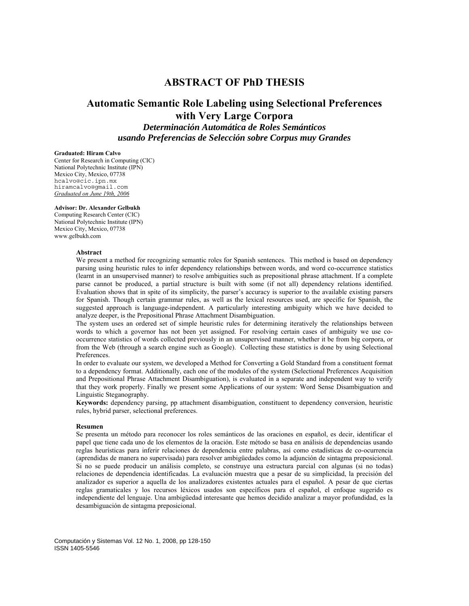# **ABSTRACT OF PhD THESIS**

# **Automatic Semantic Role Labeling using Selectional Preferences with Very Large Corpora**

*Determinación Automática de Roles Semánticos usando Preferencias de Selección sobre Corpus muy Grandes*

#### **Graduated: Hiram Calvo**

Center for Research in Computing (CIC) National Polytechnic Institute (IPN) Mexico City, Mexico, 07738 hcalvo@cic.ipn.mx hiramcalvo@gmail.com *Graduated on June 19th, 2006*

#### **Advisor: Dr. Alexander Gelbukh**

Computing Research Center (CIC) National Polytechnic Institute (IPN) Mexico City, Mexico, 07738 www.gelbukh.com

#### **Abstract**

We present a method for recognizing semantic roles for Spanish sentences. This method is based on dependency parsing using heuristic rules to infer dependency relationships between words, and word co-occurrence statistics (learnt in an unsupervised manner) to resolve ambiguities such as prepositional phrase attachment. If a complete parse cannot be produced, a partial structure is built with some (if not all) dependency relations identified. Evaluation shows that in spite of its simplicity, the parser's accuracy is superior to the available existing parsers for Spanish. Though certain grammar rules, as well as the lexical resources used, are specific for Spanish, the suggested approach is language-independent. A particularly interesting ambiguity which we have decided to analyze deeper, is the Prepositional Phrase Attachment Disambiguation.

The system uses an ordered set of simple heuristic rules for determining iteratively the relationships between words to which a governor has not been yet assigned. For resolving certain cases of ambiguity we use cooccurrence statistics of words collected previously in an unsupervised manner, whether it be from big corpora, or from the Web (through a search engine such as Google). Collecting these statistics is done by using Selectional Preferences.

In order to evaluate our system, we developed a Method for Converting a Gold Standard from a constituent format to a dependency format. Additionally, each one of the modules of the system (Selectional Preferences Acquisition and Prepositional Phrase Attachment Disambiguation), is evaluated in a separate and independent way to verify that they work properly. Finally we present some Applications of our system: Word Sense Disambiguation and Linguistic Steganography.

**Keywords:** dependency parsing, pp attachment disambiguation, constituent to dependency conversion, heuristic rules, hybrid parser, selectional preferences.

#### **Resumen**

Se presenta un método para reconocer los roles semánticos de las oraciones en español, es decir, identificar el papel que tiene cada uno de los elementos de la oración. Este método se basa en análisis de dependencias usando reglas heurísticas para inferir relaciones de dependencia entre palabras, así como estadísticas de co-ocurrencia (aprendidas de manera no supervisada) para resolver ambigüedades como la adjunción de sintagma preposicional. Si no se puede producir un análisis completo, se construye una estructura parcial con algunas (si no todas) relaciones de dependencia identificadas. La evaluación muestra que a pesar de su simplicidad, la precisión del analizador es superior a aquella de los analizadores existentes actuales para el español. A pesar de que ciertas reglas gramaticales y los recursos léxicos usados son específicos para el español, el enfoque sugerido es independiente del lenguaje. Una ambigüedad interesante que hemos decidido analizar a mayor profundidad, es la desambiguación de sintagma preposicional.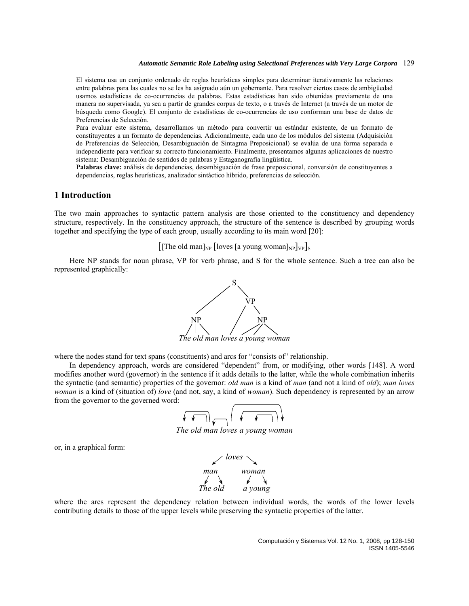#### *Automatic Semantic Role Labeling using Selectional Preferences with Very Large Corpora* 129

El sistema usa un conjunto ordenado de reglas heurísticas simples para determinar iterativamente las relaciones entre palabras para las cuales no se les ha asignado aún un gobernante. Para resolver ciertos casos de ambigüedad usamos estadísticas de co-ocurrencias de palabras. Estas estadísticas han sido obtenidas previamente de una manera no supervisada, ya sea a partir de grandes corpus de texto, o a través de Internet (a través de un motor de búsqueda como Google). El conjunto de estadísticas de co-ocurrencias de uso conforman una base de datos de Preferencias de Selección.

Para evaluar este sistema, desarrollamos un método para convertir un estándar existente, de un formato de constituyentes a un formato de dependencias. Adicionalmente, cada uno de los módulos del sistema (Adquisición de Preferencias de Selección, Desambiguación de Sintagma Preposicional) se evalúa de una forma separada e independiente para verificar su correcto funcionamiento. Finalmente, presentamos algunas aplicaciones de nuestro sistema: Desambiguación de sentidos de palabras y Estaganografía lingüística.

**Palabras clave:** análisis de dependencias, desambiguación de frase preposicional, conversión de constituyentes a dependencias, reglas heurísticas, analizador sintáctico híbrido, preferencias de selección.

# **1 Introduction**

The two main approaches to syntactic pattern analysis are those oriented to the constituency and dependency structure, respectively. In the constituency approach, the structure of the sentence is described by grouping words together and specifying the type of each group, usually according to its main word [\[20](#page-20-0)]:

# [[The old man]<sub>NP</sub> [loves [a young woman]<sub>NP</sub>]<sub>VP</sub>]<sub>S</sub>

Here NP stands for noun phrase, VP for verb phrase, and S for the whole sentence. Such a tree can also be represented graphically:



*The old man loves a young woman*

where the nodes stand for text spans (constituents) and arcs for "consists of" relationship.

In dependency approach, words are considered "dependent" from, or modifying, other words [[148\]](#page-20-1). A word modifies another word (governor) in the sentence if it adds details to the latter, while the whole combination inherits the syntactic (and semantic) properties of the governor: *old man* is a kind of *man* (and not a kind of *old*); *man loves woman* is a kind of (situation of) *love* (and not, say, a kind of *woman*). Such dependency is represented by an arrow from the governor to the governed word:

$$
\sqrt{1-\gamma}\sqrt{1-\gamma}
$$

*The old man loves a young woman*

or, in a graphical form:



where the arcs represent the dependency relation between individual words, the words of the lower levels contributing details to those of the upper levels while preserving the syntactic properties of the latter.

> Computación y Sistemas Vol. 12 No. 1, 2008, pp 128-150 ISSN 1405-5546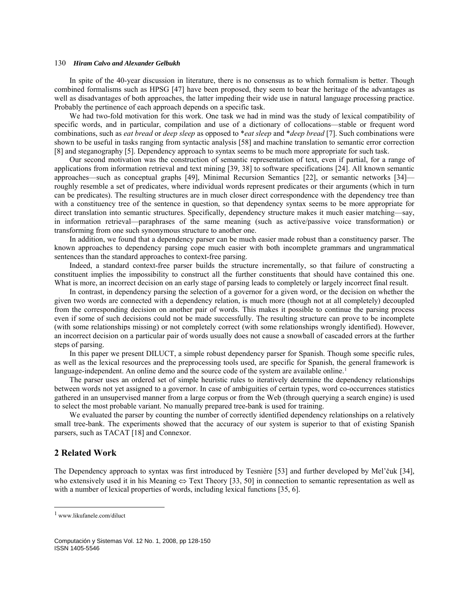In spite of the 40-year discussion in literature, there is no consensus as to which formalism is better. Though combined formalisms such as HPSG [\[47](#page-21-0)] have been proposed, they seem to bear the heritage of the advantages as well as disadvantages of both approaches, the latter impeding their wide use in natural language processing practice. Probably the pertinence of each approach depends on a specific task.

We had two-fold motivation for this work. One task we had in mind was the study of lexical compatibility of specific words, and in particular, compilation and use of a dictionary of collocations—stable or frequent word combinations, such as *eat bread* or *deep sleep* as opposed to \**eat sleep* and \**deep bread* [\[7](#page-19-0)]. Such combinations were shown to be useful in tasks ranging from syntactic analysis [[58\]](#page-22-0) and machine translation to semantic error correction [\[8](#page-19-1)] and steganography [\[5](#page-19-2)]. Dependency approach to syntax seems to be much more appropriate for such task.

Our second motivation was the construction of semantic representation of text, even if partial, for a range of applications from information retrieval and text mining [\[39](#page-21-1), [38\]](#page-21-2) to software specifications [\[24](#page-20-2)]. All known semantic approaches—such as conceptual graphs [[49\]](#page-21-3), Minimal Recursion Semantics [\[22](#page-20-3)], or semantic networks [[34\]](#page-20-1) roughly resemble a set of predicates, where individual words represent predicates or their arguments (which in turn can be predicates). The resulting structures are in much closer direct correspondence with the dependency tree than with a constituency tree of the sentence in question, so that dependency syntax seems to be more appropriate for direct translation into semantic structures. Specifically, dependency structure makes it much easier matching—say, in information retrieval—paraphrases of the same meaning (such as active/passive voice transformation) or transforming from one such synonymous structure to another one.

In addition, we found that a dependency parser can be much easier made robust than a constituency parser. The known approaches to dependency parsing cope much easier with both incomplete grammars and ungrammatical sentences than the standard approaches to context-free parsing.

Indeed, a standard context-free parser builds the structure incrementally, so that failure of constructing a constituent implies the impossibility to construct all the further constituents that should have contained this one. What is more, an incorrect decision on an early stage of parsing leads to completely or largely incorrect final result.

In contrast, in dependency parsing the selection of a governor for a given word, or the decision on whether the given two words are connected with a dependency relation, is much more (though not at all completely) decoupled from the corresponding decision on another pair of words. This makes it possible to continue the parsing process even if some of such decisions could not be made successfully. The resulting structure can prove to be incomplete (with some relationships missing) or not completely correct (with some relationships wrongly identified). However, an incorrect decision on a particular pair of words usually does not cause a snowball of cascaded errors at the further steps of parsing.

In this paper we present DILUCT, a simple robust dependency parser for Spanish. Though some specific rules, as well as the lexical resources and the preprocessing tools used, are specific for Spanish, the general framework is language-independent. An online demo and the source code of the system are available online.<sup>[1](#page-2-0)</sup>

The parser uses an ordered set of simple heuristic rules to iteratively determine the dependency relationships between words not yet assigned to a governor. In case of ambiguities of certain types, word co-occurrences statistics gathered in an unsupervised manner from a large corpus or from the Web (through querying a search engine) is used to select the most probable variant. No manually prepared tree-bank is used for training.

We evaluated the parser by counting the number of correctly identified dependency relationships on a relatively small tree-bank. The experiments showed that the accuracy of our system is superior to that of existing Spanish parsers, such as TACAT [\[18](#page-20-4)] and Connexor.

### **2 Related Work**

The Dependency approach to syntax was first introduced by Tesnière [\[53](#page-21-4)] and further developed by Mel'čuk [\[34\]](#page-20-1), who extensively used it in his Meaning  $\Leftrightarrow$  Text Theory [\[33](#page-20-5), [50\]](#page-21-5) in connection to semantic representation as well as with a number of lexical properties of words, including lexical functions [\[35](#page-21-6), [6](#page-19-3)].

 $\overline{a}$ 

<span id="page-2-0"></span><sup>1</sup> www.likufanele.com/diluct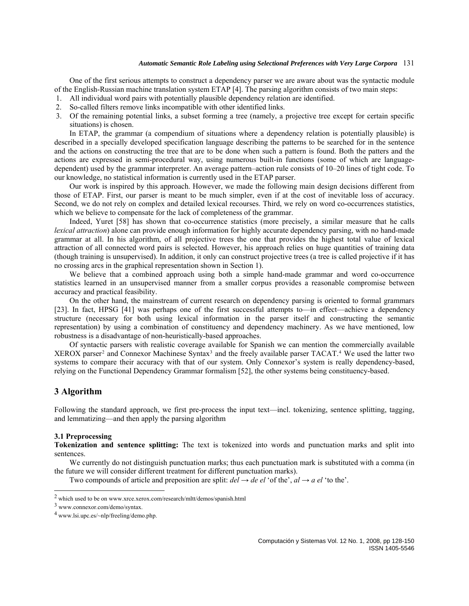### *Automatic Semantic Role Labeling using Selectional Preferences with Very Large Corpora* 131

One of the first serious attempts to construct a dependency parser we are aware about was the syntactic module of the English-Russian machine translation system ETAP [[4\]](#page-19-4). The parsing algorithm consists of two main steps:

- 1. All individual word pairs with potentially plausible dependency relation are identified.
- 2. So-called filters remove links incompatible with other identified links.
- 3. Of the remaining potential links, a subset forming a tree (namely, a projective tree except for certain specific situations) is chosen.

In ETAP, the grammar (a compendium of situations where a dependency relation is potentially plausible) is described in a specially developed specification language describing the patterns to be searched for in the sentence and the actions on constructing the tree that are to be done when such a pattern is found. Both the patters and the actions are expressed in semi-procedural way, using numerous built-in functions (some of which are languagedependent) used by the grammar interpreter. An average pattern–action rule consists of 10–20 lines of tight code. To our knowledge, no statistical information is currently used in the ETAP parser.

Our work is inspired by this approach. However, we made the following main design decisions different from those of ETAP. First, our parser is meant to be much simpler, even if at the cost of inevitable loss of accuracy. Second, we do not rely on complex and detailed lexical recourses. Third, we rely on word co-occurrences statistics, which we believe to compensate for the lack of completeness of the grammar.

Indeed, Yuret [\[58](#page-22-0)] has shown that co-occurrence statistics (more precisely, a similar measure that he calls *lexical attraction*) alone can provide enough information for highly accurate dependency parsing, with no hand-made grammar at all. In his algorithm, of all projective trees the one that provides the highest total value of lexical attraction of all connected word pairs is selected. However, his approach relies on huge quantities of training data (though training is unsupervised). In addition, it only can construct projective trees (a tree is called projective if it has no crossing arcs in the graphical representation shown in Section 1).

We believe that a combined approach using both a simple hand-made grammar and word co-occurrence statistics learned in an unsupervised manner from a smaller corpus provides a reasonable compromise between accuracy and practical feasibility.

On the other hand, the mainstream of current research on dependency parsing is oriented to formal grammars [\[23](#page-20-6)]. In fact, HPSG [\[41](#page-21-7)] was perhaps one of the first successful attempts to—in effect—achieve a dependency structure (necessary for both using lexical information in the parser itself and constructing the semantic representation) by using a combination of constituency and dependency machinery. As we have mentioned, low robustness is a disadvantage of non-heuristically-based approaches.

Of syntactic parsers with realistic coverage available for Spanish we can mention the commercially available XEROX parser<sup>[2](#page-3-0)</sup> and Connexor Machinese Syntax<sup>[3](#page-3-1)</sup> and the freely available parser TACAT.<sup>[4](#page-3-2)</sup> We used the latter two systems to compare their accuracy with that of our system. Only Connexor's system is really dependency-based, relying on the Functional Dependency Grammar formalism [\[52](#page-21-8)], the other systems being constituency-based.

# **3 Algorithm**

Following the standard approach, we first pre-process the input text—incl. tokenizing, sentence splitting, tagging, and lemmatizing—and then apply the parsing algorithm

#### **3.1 Preprocessing**

 $\overline{a}$ 

**Tokenization and sentence splitting:** The text is tokenized into words and punctuation marks and split into sentences.

We currently do not distinguish punctuation marks; thus each punctuation mark is substituted with a comma (in the future we will consider different treatment for different punctuation marks).

Two compounds of article and preposition are split:  $del \rightarrow de \, el$  'of the',  $al \rightarrow a \, el$  'to the'.

<span id="page-3-1"></span><span id="page-3-0"></span><sup>2</sup> which used to be on www.xrce.xerox.com/research/mltt/demos/spanish.html

<sup>3</sup> www.connexor.com/demo/syntax.

<span id="page-3-2"></span><sup>4</sup> www.lsi.upc.es/~nlp/freeling/demo.php.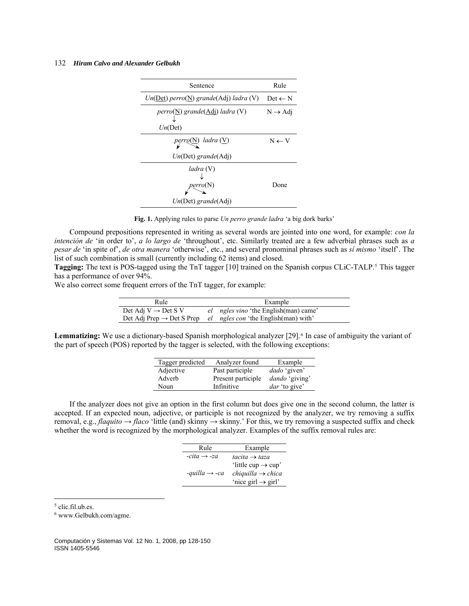| Sentence                                                                             | Rule                |
|--------------------------------------------------------------------------------------|---------------------|
| $Un(Det)$ perro(N) grande(Adj) ladra (V)                                             | $Det \leftarrow N$  |
| $perro(\underline{N})$ grande( $\underline{Adj}$ ) ladra (V)<br>Un(Det)              | $N \rightarrow Adj$ |
| <i>ladra</i> $(\underline{V})$<br>$perr_Q(N)$                                        | $N \leftarrow V$    |
| $Un(Det)$ grande $(Adj)$<br><i>ladra</i> (V)<br>perro(N)<br>$Un(Det)$ grande $(Adj)$ | Done                |

**Fig. 1.** Applying rules to parse *Un perro grande ladra* 'a big dork barks'

<span id="page-4-2"></span>Compound prepositions represented in writing as several words are jointed into one word, for example: *con la intención de* 'in order to', *a lo largo de* 'throughout', etc. Similarly treated are a few adverbial phrases such as *a pesar de* 'in spite of', *de otra manera* 'otherwise', etc., and several pronominal phrases such as *sí mismo* 'itself'. The list of such combination is small (currently including 62 items) and closed.

**Tagging:** The text is POS-tagged using the TnT tagger [\[10](#page-19-5)] trained on the Spanish corpus CLiC-TALP.[5](#page-4-0) This tagger has a performance of over 94%.

We also correct some frequent errors of the TnT tagger, for example:

| Rule                            | Example                                                                           |
|---------------------------------|-----------------------------------------------------------------------------------|
| Det Adj $V \rightarrow$ Det S V | <i>el ngles vino</i> 'the English(man) came'                                      |
|                                 | Det Adj Prep $\rightarrow$ Det S Prep <i>el ngles con</i> 'the English(man) with' |

Lemmatizing: We use a dictionary-based Spanish morphological analyzer [\[29](#page-20-7)].<sup>[6](#page-4-1)</sup> In case of ambiguity the variant of the part of speech (POS) reported by the tagger is selected, with the following exceptions:

| Tagger predicted | Analyzer found     | Example               |
|------------------|--------------------|-----------------------|
| Adjective        | Past participle    | <i>dado</i> 'given'   |
| Adverb           | Present participle | <i>dando</i> 'giving' |
| Noun             | Infinitive         | <i>dar</i> 'to give'  |

If the analyzer does not give an option in the first column but does give one in the second column, the latter is accepted. If an expected noun, adjective, or participle is not recognized by the analyzer, we try removing a suffix removal, e.g., *flaquito*  $\rightarrow$  *flaco* 'little (and) skinny  $\rightarrow$  skinny.' For this, we try removing a suspected suffix and check whether the word is recognized by the morphological analyzer. Examples of the suffix removal rules are:

| Rule                      | Example                                                                                           |
|---------------------------|---------------------------------------------------------------------------------------------------|
| $-cita \rightarrow -za$   | $tacita \rightarrow taza$                                                                         |
| $-quilla \rightarrow -ca$ | 'little cup $\rightarrow$ cup'<br>$chiquilla \rightarrow chica$<br>'nice girl $\rightarrow$ girl' |

<span id="page-4-0"></span>5 clic.fil.ub.es.

 $\overline{a}$ 

<span id="page-4-1"></span>6 www.Gelbukh.com/agme.

Computación y Sistemas Vol. 12 No. 1, 2008, pp 128-150 ISSN 1405-5546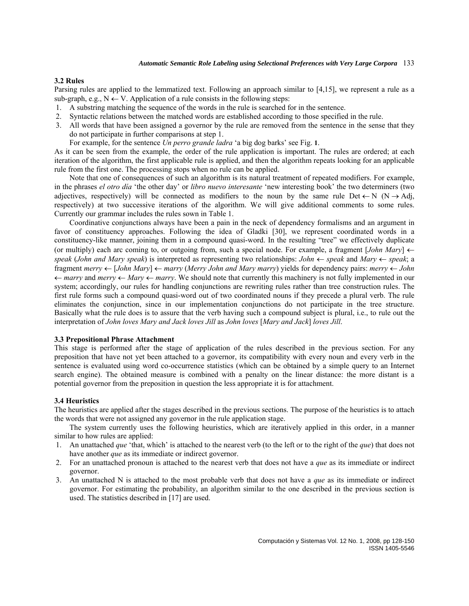### **3.2 Rules**

Parsing rules are applied to the lemmatized text. Following an approach similar to [\[4](#page-19-4),[15\]](#page-20-8), we represent a rule as a sub-graph, e.g.,  $N \leftarrow V$ . Application of a rule consists in the following steps:

- 1. A substring matching the sequence of the words in the rule is searched for in the sentence.
- 2. Syntactic relations between the matched words are established according to those specified in the rule.
- 3. All words that have been assigned a governor by the rule are removed from the sentence in the sense that they do not participate in further comparisons at step 1.

For example, for the sentence *Un perro grande ladra* 'a big dog barks' see [Fig.](#page-4-2) **1**.

As it can be seen from the example, the order of the rule application is important. The rules are ordered; at each iteration of the algorithm, the first applicable rule is applied, and then the algorithm repeats looking for an applicable rule from the first one. The processing stops when no rule can be applied.

Note that one of consequences of such an algorithm is its natural treatment of repeated modifiers. For example, in the phrases *el otro día* 'the other day' or *libro nuevo interesante* 'new interesting book' the two determiners (two adjectives, respectively) will be connected as modifiers to the noun by the same rule Det  $\leftarrow$  N (N  $\rightarrow$  Adj, respectively) at two successive iterations of the algorithm. We will give additional comments to some rules. Currently our grammar includes the rules sown in Table 1.

Coordinative conjunctions always have been a pain in the neck of dependency formalisms and an argument in favor of constituency approaches. Following the idea of Gladki [[30\]](#page-20-9), we represent coordinated words in a constituency-like manner, joining them in a compound quasi-word. In the resulting "tree" we effectively duplicate (or multiply) each arc coming to, or outgoing from, such a special node. For example, a fragment [*John Mary*] ←  $speak$  (*John and Mary speak*) is interpreted as representing two relationships: *John*  $\leftarrow$  *speak* and *Mary*  $\leftarrow$  *speak*; a fragment *merry* ← [*John Mary*] ← *marry* (*Merry John and Mary marry*) yields for dependency pairs: *merry* ← *John* ← *marry* and *merry* ← *Mary* ← *marry*. We should note that currently this machinery is not fully implemented in our system; accordingly, our rules for handling conjunctions are rewriting rules rather than tree construction rules. The first rule forms such a compound quasi-word out of two coordinated nouns if they precede a plural verb. The rule eliminates the conjunction, since in our implementation conjunctions do not participate in the tree structure. Basically what the rule does is to assure that the verb having such a compound subject is plural, i.e., to rule out the interpretation of *John loves Mary and Jack loves Jill* as *John loves* [*Mary and Jack*] *loves Jill*.

### **3.3 Prepositional Phrase Attachment**

This stage is performed after the stage of application of the rules described in the previous section. For any preposition that have not yet been attached to a governor, its compatibility with every noun and every verb in the sentence is evaluated using word co-occurrence statistics (which can be obtained by a simple query to an Internet search engine). The obtained measure is combined with a penalty on the linear distance: the more distant is a potential governor from the preposition in question the less appropriate it is for attachment.

#### **3.4 Heuristics**

The heuristics are applied after the stages described in the previous sections. The purpose of the heuristics is to attach the words that were not assigned any governor in the rule application stage.

The system currently uses the following heuristics, which are iteratively applied in this order, in a manner similar to how rules are applied:

- 1. An unattached *que* 'that, which' is attached to the nearest verb (to the left or to the right of the *que*) that does not have another *que* as its immediate or indirect governor.
- 2. For an unattached pronoun is attached to the nearest verb that does not have a *que* as its immediate or indirect governor.
- 3. An unattached N is attached to the most probable verb that does not have a *que* as its immediate or indirect governor. For estimating the probability, an algorithm similar to the one described in the previous section is used. The statistics described in [[17\]](#page-20-10) are used.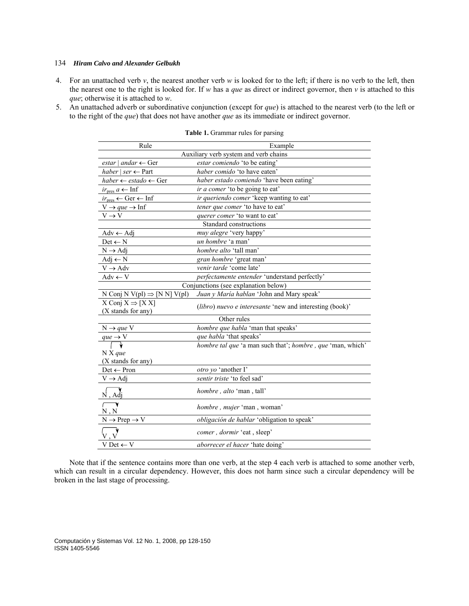- <span id="page-6-0"></span>4. For an unattached verb *v*, the nearest another verb *w* is looked for to the left; if there is no verb to the left, then the nearest one to the right is looked for. If *w* has a *que* as direct or indirect governor, then *v* is attached to this *que*; otherwise it is attached to *w*.
- 5. An unattached adverb or subordinative conjunction (except for *que*) is attached to the nearest verb (to the left or to the right of the *que*) that does not have another *que* as its immediate or indirect governor.

| Rule                                                    | Example                                                    |
|---------------------------------------------------------|------------------------------------------------------------|
|                                                         | Auxiliary verb system and verb chains                      |
| estar   andar $\leftarrow$ Ger                          | estar comiendo 'to be eating'                              |
| <i>haber</i>   ser $\leftarrow$ Part                    | haber comido 'to have eaten'                               |
| haber $\leftarrow$ estado $\leftarrow$ Ger              | haber estado comiendo 'have been eating'                   |
| $ir_{\text{pres}} a \leftarrow \text{Inf}$              | <i>ir a comer</i> 'to be going to eat'                     |
| $ir_{pres} \leftarrow \text{Ger} \leftarrow \text{Inf}$ | ir queriendo comer 'keep wanting to eat'                   |
| $V \rightarrow que \rightarrow Inf$                     | tener que comer 'to have to eat'                           |
| $V \rightarrow V$                                       | querer comer 'to want to eat'                              |
|                                                         | Standard constructions                                     |
| $Adv \leftarrow Adj$                                    | muy alegre 'very happy'                                    |
| $Det \leftarrow N$                                      | un hombre 'a man'                                          |
| $N \rightarrow Adj$                                     | hombre alto 'tall man'                                     |
| $Adj \leftarrow N$                                      | gran hombre 'great man'                                    |
| $V \rightarrow Adv$                                     | venir tarde 'come late'                                    |
| Adv $\leftarrow$ V                                      | <i>perfectamente entender</i> 'understand perfectly'       |
|                                                         | Conjunctions (see explanation below)                       |
| N Conj N V(pl) $\Rightarrow$ [N N] V(pl)                | Juan y María hablan 'John and Mary speak'                  |
| $X$ Conj $X \Rightarrow [X X]$<br>(X stands for any)    | (libro) nuevo e interesante 'new and interesting (book)'   |
|                                                         | Other rules                                                |
| $N \rightarrow queV$                                    | hombre que habla 'man that speaks'                         |
| $que \rightarrow V$                                     | que habla 'that speaks'                                    |
|                                                         | hombre tal que 'a man such that'; hombre, que 'man, which' |
| N X que                                                 |                                                            |
| (X stands for any)                                      |                                                            |
| $Det \leftarrow Pron$                                   | otro yo 'another I'                                        |
| $V \rightarrow Adj$                                     | sentir triste 'to feel sad'                                |
| $N$ , Adj                                               | hombre, alto 'man, tall'                                   |
| N, N                                                    | <i>hombre, mujer</i> 'man, woman'                          |
| $N \rightarrow Prep \rightarrow V$                      | obligación de hablar 'obligation to speak'                 |
|                                                         | <i>comer, dormir</i> 'eat, sleep'                          |
| $V$ Det $\leftarrow$ V                                  | <i>aborrecer el hacer</i> 'hate doing'                     |

**Table 1.** Grammar rules for parsing

Note that if the sentence contains more than one verb, at the step [4](#page-6-0) each verb is attached to some another verb, which can result in a circular dependency. However, this does not harm since such a circular dependency will be broken in the last stage of processing.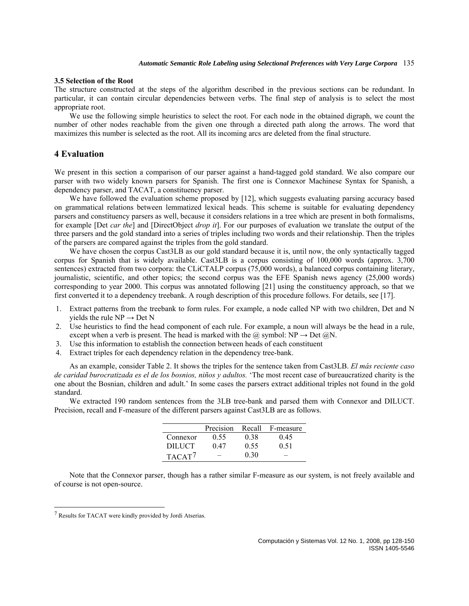#### **3.5 Selection of the Root**

The structure constructed at the steps of the algorithm described in the previous sections can be redundant. In particular, it can contain circular dependencies between verbs. The final step of analysis is to select the most appropriate root.

We use the following simple heuristics to select the root. For each node in the obtained digraph, we count the number of other nodes reachable from the given one through a directed path along the arrows. The word that maximizes this number is selected as the root. All its incoming arcs are deleted from the final structure.

## **4 Evaluation**

We present in this section a comparison of our parser against a hand-tagged gold standard. We also compare our parser with two widely known parsers for Spanish. The first one is Connexor Machinese Syntax for Spanish, a dependency parser, and TACAT, a constituency parser.

We have followed the evaluation scheme proposed by [\[12\]](#page-19-6), which suggests evaluating parsing accuracy based on grammatical relations between lemmatized lexical heads. This scheme is suitable for evaluating dependency parsers and constituency parsers as well, because it considers relations in a tree which are present in both formalisms, for example [Det *car the*] and [DirectObject *drop it*]. For our purposes of evaluation we translate the output of the three parsers and the gold standard into a series of triples including two words and their relationship. Then the triples of the parsers are compared against the triples from the gold standard.

We have chosen the corpus Cast3LB as our gold standard because it is, until now, the only syntactically tagged corpus for Spanish that is widely available. Cast3LB is a corpus consisting of 100,000 words (approx. 3,700 sentences) extracted from two corpora: the CLiCTALP corpus (75,000 words), a balanced corpus containing literary, journalistic, scientific, and other topics; the second corpus was the EFE Spanish news agency (25,000 words) corresponding to year 2000. This corpus was annotated following [[21\]](#page-20-11) using the constituency approach, so that we first converted it to a dependency treebank. A rough description of this procedure follows. For details, see [\[17](#page-20-10)].

- 1. Extract patterns from the treebank to form rules. For example, a node called NP with two children, Det and N vields the rule  $NP \rightarrow Det N$
- 2. Use heuristics to find the head component of each rule. For example, a noun will always be the head in a rule, except when a verb is present. The head is marked with the  $\omega$  symbol: NP  $\rightarrow$  Det  $\omega$ N.
- 3. Use this information to establish the connection between heads of each constituent
- 4. Extract triples for each dependency relation in the dependency tree-bank.

As an example, consider Table 2. It shows the triples for the sentence taken from Cast3LB. *El más reciente caso de caridad burocratizada es el de los bosnios, niños y adultos.* 'The most recent case of bureaucratized charity is the one about the Bosnian, children and adult.' In some cases the parsers extract additional triples not found in the gold standard.

We extracted 190 random sentences from the 3LB tree-bank and parsed them with Connexor and DILUCT. Precision, recall and F-measure of the different parsers against Cast3LB are as follows.

|                    | Precision | Recall | F-measure |
|--------------------|-----------|--------|-----------|
| Connexor           | 0.55      | 0.38   | 0.45      |
| <b>DILUCT</b>      | በ 47      | 0.55   | 0.51      |
| TACAT <sup>7</sup> |           | 0.30   |           |

Note that the Connexor parser, though has a rather similar F-measure as our system, is not freely available and of course is not open-source.

 $\overline{a}$ 

<span id="page-7-0"></span><sup>7</sup> Results for TACAT were kindly provided by Jordi Atserias.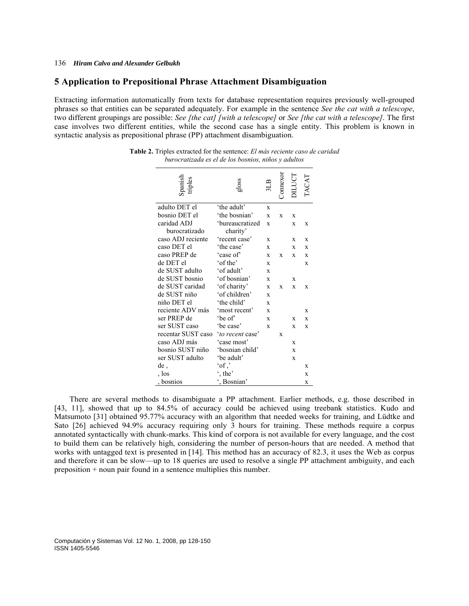# **5 Application to Prepositional Phrase Attachment Disambiguation**

Extracting information automatically from texts for database representation requires previously well-grouped phrases so that entities can be separated adequately. For example in the sentence *See the cat with a telescope*, two different groupings are possible: *See [the cat] [with a telescope]* or *See [the cat with a telescope]*. The first case involves two different entities, while the second case has a single entity. This problem is known in syntactic analysis as prepositional phrase (PP) attachment disambiguation.

| panis              | gloss             |              | .omnexo |             | ACAT        |
|--------------------|-------------------|--------------|---------|-------------|-------------|
| adulto DET el      | 'the adult'       | $\mathbf{x}$ |         |             |             |
| bosnio DET el      | 'the bosnian'     | $\mathbf x$  | X       | X           |             |
| caridad ADJ        | 'bureaucratized   | $\mathbf x$  |         | X           | X           |
| burocratizado      | charity'          |              |         |             |             |
| caso ADJ reciente  | 'recent case'     | X            |         | X           | X           |
| caso DET el        | 'the case'        | X            |         | X           | $\mathbf x$ |
| caso PREP de       | 'case of'         | X            | X       | X           | $\mathbf x$ |
| de DET el          | 'of the'          | X            |         |             | $\mathbf x$ |
| de SUST adulto     | 'of adult'        | $\mathbf{x}$ |         |             |             |
| de SUST bosnio     | 'of bosnian'      | $\mathbf{x}$ |         | X           |             |
| de SUST caridad    | 'of charity'      | X            | X       | X           | X           |
| de SUST niño       | 'of children'     | X            |         |             |             |
| niño DET el        | 'the child'       | $\mathbf{x}$ |         |             |             |
| reciente ADV más   | 'most recent'     | X            |         |             | X           |
| ser PREP de        | be of             | X            |         | X           | $\mathbf x$ |
| ser SUST caso      | 'be case'         | $\mathbf{x}$ |         | X           | X           |
| recentar SUST caso | 'to recent case'  |              | X       |             |             |
| caso ADJ más       | 'case most'       |              |         | X           |             |
| bosnio SUST niño   | 'bosnian child'   |              |         | $\mathbf x$ |             |
| ser SUST adulto    | 'be adult'        |              |         | X           |             |
| de.                | $\circ$ f $\cdot$ |              |         |             | $\mathbf x$ |
| , los              | $:$ the $"$       |              |         |             | X           |
| , bosnios          | , Bosnian'        |              |         |             | X           |

| <b>Table 2.</b> Triples extracted for the sentence: El más reciente caso de caridad |  |
|-------------------------------------------------------------------------------------|--|
| burocratizada es el de los bosnios, niños y adultos                                 |  |

There are several methods to disambiguate a PP attachment. Earlier methods, e.g. those described in [\[43,](#page-21-9) [11\]](#page-19-7), showed that up to 84.5% of accuracy could be achieved using treebank statistics. Kudo and Matsumoto [[31](#page-20-12)] obtained 95.77% accuracy with an algorithm that needed weeks for training, and Lüdtke and Sato [\[26\]](#page-20-13) achieved 94.9% accuracy requiring only 3 hours for training. These methods require a corpus annotated syntactically with chunk-marks. This kind of corpora is not available for every language, and the cost to build them can be relatively high, considering the number of person-hours that are needed. A method that works with untagged text is presented in [[14](#page-20-14)]. This method has an accuracy of 82.3, it uses the Web as corpus and therefore it can be slow—up to 18 queries are used to resolve a single PP attachment ambiguity, and each preposition + noun pair found in a sentence multiplies this number.

Computación y Sistemas Vol. 12 No. 1, 2008, pp 128-150 ISSN 1405-5546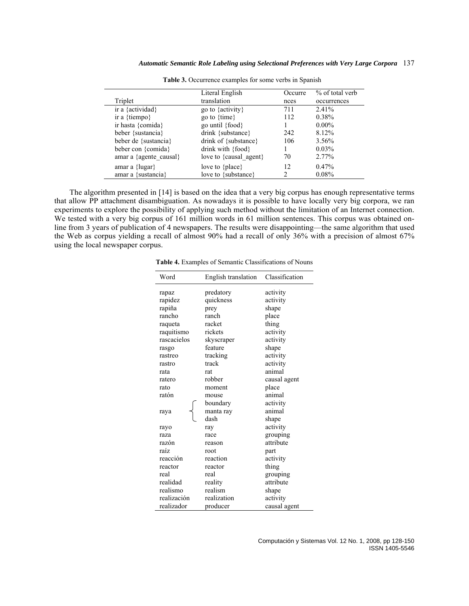|                        | Literal English        | Occurre | % of total verb |
|------------------------|------------------------|---------|-----------------|
| Triplet                | translation            | nces    | occurrences     |
| ir a { $actual$ }      | go to {activity}       | 711     | 2.41%           |
| ir a {tiempo}          | go to ${time}$         | 112     | $0.38\%$        |
| ir hasta {comida}      | go until {food}        |         | $0.00\%$        |
| beber {sustancia}      | drink {substance}      | 242     | 8.12%           |
| beber de {sustancia}   | drink of {substance}   | 106     | $3.56\%$        |
| beber con {comida}     | drink with {food}      |         | $0.03\%$        |
| amar a {agente causal} | love to {causal agent} | 70      | $2.77\%$        |
| amar a $\{lugar\}$     | love to ${place}$      | 12      | $0.47\%$        |
| amar a {sustancia}     | love to {substance}    | 2       | 0.08%           |

Table 3. Occurrence examples for some verbs in Spanish

The algorithm presented in [[14\]](#page-20-14) is based on the idea that a very big corpus has enough representative terms that allow PP attachment disambiguation. As nowadays it is possible to have locally very big corpora, we ran experiments to explore the possibility of applying such method without the limitation of an Internet connection. We tested with a very big corpus of 161 million words in 61 million sentences. This corpus was obtained online from 3 years of publication of 4 newspapers. The results were disappointing—the same algorithm that used the Web as corpus yielding a recall of almost 90% had a recall of only 36% with a precision of almost 67% using the local newspaper corpus.

| Word        | English translation | Classification |
|-------------|---------------------|----------------|
| rapaz       | predatory           | activity       |
| rapidez     | quickness           | activity       |
| rapiña      | prey                | shape          |
| rancho      | ranch               | place          |
| raqueta     | racket              | thing          |
| raquitismo  | rickets             | activity       |
| rascacielos | skyscraper          | activity       |
| rasgo       | feature             | shape          |
| rastreo     | tracking            | activity       |
| rastro      | track               | activity       |
| rata        | rat                 | animal         |
| ratero      | robber              | causal agent   |
| rato        | moment              | place          |
| ratón       | mouse               | animal         |
|             | boundary            | activity       |
| raya        | manta ray           | animal         |
|             | dash                | shape          |
| rayo        | ray                 | activity       |
| raza        | race                | grouping       |
| razón       | reason              | attribute      |
| raíz        | root                | part           |
| reacción    | reaction            | activity       |
| reactor     | reactor             | thing          |
| real        | real                | grouping       |
| realidad    | reality             | attribute      |
| realismo    | realism             | shape          |
| realización | realization         | activity       |
| realizador  | producer            | causal agent   |

**Table 4.** Examples of Semantic Classifications of Nouns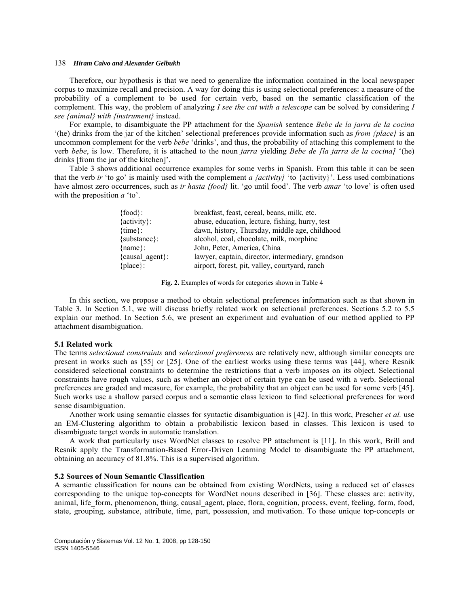Therefore, our hypothesis is that we need to generalize the information contained in the local newspaper corpus to maximize recall and precision. A way for doing this is using selectional preferences: a measure of the probability of a complement to be used for certain verb, based on the semantic classification of the complement. This way, the problem of analyzing *I see the cat with a telescope* can be solved by considering *I see {animal} with {instrument}* instead.

For example, to disambiguate the PP attachment for the *Spanish* sentence *Bebe de la jarra de la cocina* '(he) drinks from the jar of the kitchen' selectional preferences provide information such as *from {place}* is an uncommon complement for the verb *bebe* 'drinks', and thus, the probability of attaching this complement to the verb *bebe*, is low. Therefore, it is attached to the noun *jarra* yielding *Bebe de [la jarra de la cocina]* '(he) drinks [from the jar of the kitchen]'.

Table 3 shows additional occurrence examples for some verbs in Spanish. From this table it can be seen that the verb *ir* 'to go' is mainly used with the complement *a {activity}* 'to {activity}'. Less used combinations have almost zero occurrences, such as *ir hasta {food}* lit. 'go until food'*.* The verb *amar* 'to love' is often used with the preposition *a* 'to'.

| $\{food\}$ :      | breakfast, feast, cereal, beans, milk, etc.       |
|-------------------|---------------------------------------------------|
| {activity}:       | abuse, education, lecture, fishing, hurry, test   |
| ${time}$ :        | dawn, history, Thursday, middle age, childhood    |
| $\{substance\}$ : | alcohol, coal, chocolate, milk, morphine          |
| $\{name\}$ :      | John, Peter, America, China                       |
| {causal agent}:   | lawyer, captain, director, intermediary, grandson |
| $\{place\}$ :     | airport, forest, pit, valley, courtyard, ranch    |

**Fig. 2.** Examples of words for categories shown in Table 4

In this section, we propose a method to obtain selectional preferences information such as that shown in Table 3. In Section 5.1, we will discuss briefly related work on selectional preferences. Sections 5.2 to 5.5 explain our method. In Section 5.6, we present an experiment and evaluation of our method applied to PP attachment disambiguation.

#### **5.1 Related work**

The terms *selectional constraints* and *selectional preferences* are relatively new, although similar concepts are present in works such as [\[55\]](#page-21-10) or [\[25\]](#page-20-15). One of the earliest works using these terms was [[44](#page-21-11)], where Resnik considered selectional constraints to determine the restrictions that a verb imposes on its object. Selectional constraints have rough values, such as whether an object of certain type can be used with a verb. Selectional preferences are graded and measure, for example, the probability that an object can be used for some verb [[45](#page-21-12)]. Such works use a shallow parsed corpus and a semantic class lexicon to find selectional preferences for word sense disambiguation.

Another work using semantic classes for syntactic disambiguation is [\[42\]](#page-21-13). In this work, Prescher *et al.* use an EM-Clustering algorithm to obtain a probabilistic lexicon based in classes. This lexicon is used to disambiguate target words in automatic translation.

A work that particularly uses WordNet classes to resolve PP attachment is [[11](#page-19-7)]. In this work, Brill and Resnik apply the Transformation-Based Error-Driven Learning Model to disambiguate the PP attachment, obtaining an accuracy of 81.8%. This is a supervised algorithm.

#### **5.2 Sources of Noun Semantic Classification**

A semantic classification for nouns can be obtained from existing WordNets, using a reduced set of classes corresponding to the unique top-concepts for WordNet nouns described in [[36](#page-21-14)]. These classes are: activity, animal, life form, phenomenon, thing, causal agent, place, flora, cognition, process, event, feeling, form, food, state, grouping, substance, attribute, time, part, possession, and motivation. To these unique top-concepts or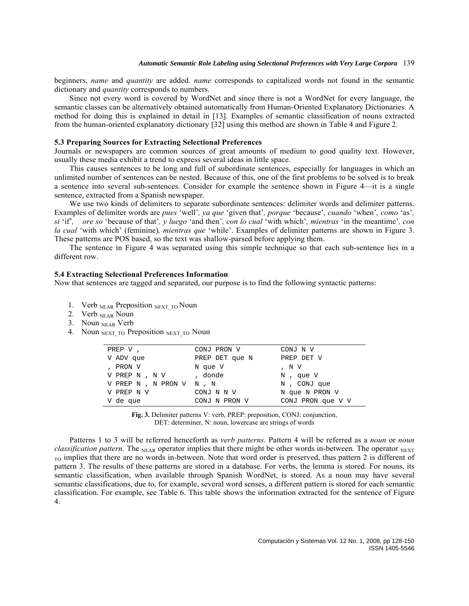beginners, *name* and *quantity* are added. *name* corresponds to capitalized words not found in the semantic dictionary and *quantity* corresponds to numbers.

Since not every word is covered by WordNet and since there is not a WordNet for every language, the semantic classes can be alternatively obtained automatically from Human-Oriented Explanatory Dictionaries. A method for doing this is explained in detail in [\[13\]](#page-19-8). Examples of semantic classification of nouns extracted from the human-oriented explanatory dictionary [\[32\]](#page-20-16) using this method are shown in Table 4 and Figure 2.

#### **5.3 Preparing Sources for Extracting Selectional Preferences**

Journals or newspapers are common sources of great amounts of medium to good quality text. However, usually these media exhibit a trend to express several ideas in little space.

This causes sentences to be long and full of subordinate sentences, especially for languages in which an unlimited number of sentences can be nested. Because of this, one of the first problems to be solved is to break a sentence into several sub-sentences. Consider for example the sentence shown in Figure 4—it is a single sentence, extracted from a Spanish newspaper.

We use two kinds of delimiters to separate subordinate sentences: delimiter words and delimiter patterns. Examples of delimiter words are *pues* 'well'*, ya que* 'given that'*, porque* 'because'*, cuando* 'when'*, como* 'as'*, si* 'if'*, ore so* 'because of that'*, y luego* 'and then'*, con lo cual* 'with which'*, mientras* 'in the meantime'*, con la cual* 'with which' (feminine)*, mientras que* 'while'. Examples of delimiter patterns are shown in Figure 3. These patterns are POS based, so the text was shallow-parsed before applying them.

The sentence in Figure 4 was separated using this simple technique so that each sub-sentence lies in a different row.

#### **5.4 Extracting Selectional Preferences Information**

Now that sentences are tagged and separated, our purpose is to find the following syntactic patterns:

- 1. Verb NEAR Preposition NEXT TO Noun
- 2. Verb NEAR Noun
- 3. Noun  $_{NEAR}$  Verb
- 4. Noun NEXT TO Preposition NEXT TO Noun

| PREP V,                 | CONJ PRON V    | CONJ N V          |
|-------------------------|----------------|-------------------|
| V ADV que               | PREP DET que N | PREP DET V        |
| , PRON V                | N que V        | , N V             |
| V PREP N , N V          | , donde        | N, que V          |
| V PREP N, N PRON V N, N |                | N, CONJ que       |
| V PREP N V              | CONJ N N V     | N que N PRON V    |
| V de que                | CONJ N PRON V  | CONJ PRON que V V |

**Fig. 3.** Delimiter patterns V: verb, PREP: preposition, CONJ: conjunction, DET: determiner, N: noun, lowercase are strings of words

Patterns 1 to 3 will be referred henceforth as *verb patterns*. Pattern 4 will be referred as a *noun* or *noun classification pattern.* The  $_{\text{NEAR}}$  operator implies that there might be other words in-between. The operator  $_{\text{NEXT}}$ TO implies that there are no words in-between. Note that word order is preserved, thus pattern 2 is different of pattern 3. The results of these patterns are stored in a database. For verbs, the lemma is stored. For nouns, its semantic classification, when available through Spanish WordNet, is stored. As a noun may have several semantic classifications, due to, for example, several word senses, a different pattern is stored for each semantic classification. For example, see Table 6. This table shows the information extracted for the sentence of Figure 4.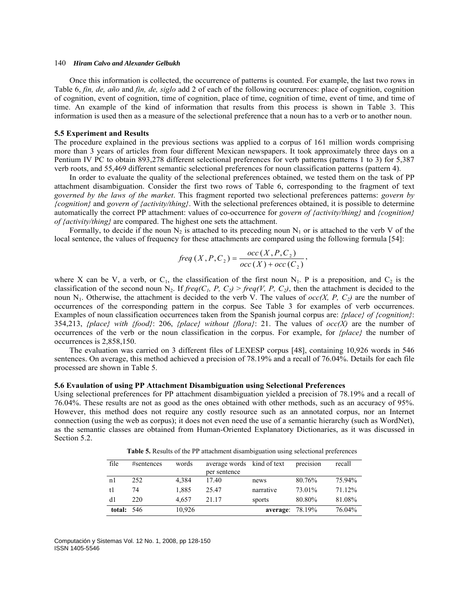Once this information is collected, the occurrence of patterns is counted. For example, the last two rows in Table 6, *fin, de, año* and *fin, de, siglo* add 2 of each of the following occurrences: place of cognition, cognition of cognition, event of cognition, time of cognition, place of time, cognition of time, event of time, and time of time. An example of the kind of information that results from this process is shown in Table 3. This information is used then as a measure of the selectional preference that a noun has to a verb or to another noun.

#### **5.5 Experiment and Results**

The procedure explained in the previous sections was applied to a corpus of 161 million words comprising more than 3 years of articles from four different Mexican newspapers. It took approximately three days on a Pentium IV PC to obtain 893,278 different selectional preferences for verb patterns (patterns 1 to 3) for 5,387 verb roots, and 55,469 different semantic selectional preferences for noun classification patterns (pattern 4).

In order to evaluate the quality of the selectional preferences obtained, we tested them on the task of PP attachment disambiguation. Consider the first two rows of Table 6, corresponding to the fragment of text *governed by the laws of the market*. This fragment reported two selectional preferences patterns: *govern by {cognition}* and *govern of {activity/thing}*. With the selectional preferences obtained, it is possible to determine automatically the correct PP attachment: values of co-occurrence for *govern of {activity/thing}* and *{cognition} of {activity/thing}* are compared. The highest one sets the attachment.

Formally, to decide if the noun  $N_2$  is attached to its preceding noun  $N_1$  or is attached to the verb V of the local sentence, the values of frequency for these attachments are compared using the following formula [\[54\]](#page-21-15):

$$
freq(X, P, C_2) = \frac{occ(X, P, C_2)}{occ(X) + occ(C_2)},
$$

where X can be V, a verb, or  $C_1$ , the classification of the first noun N<sub>1</sub>. P is a preposition, and  $C_2$  is the classification of the second noun N<sub>2</sub>. If *freq(C<sub>1</sub>, P, C<sub>2</sub>)* > *freq(V, P, C<sub>2</sub>)*, then the attachment is decided to the noun  $N_1$ . Otherwise, the attachment is decided to the verb V. The values of  $occ(X, P, C_2)$  are the number of occurrences of the corresponding pattern in the corpus. See Table 3 for examples of verb occurrences. Examples of noun classification occurrences taken from the Spanish journal corpus are: *{place} of {cognition}*: 354,213, *{place} with {food}*: 206, *{place} without {flora}*: 21. The values of *occ(X)* are the number of occurrences of the verb or the noun classification in the corpus. For example, for *{place}* the number of occurrences is 2,858,150.

The evaluation was carried on 3 different files of LEXESP corpus [\[48](#page-21-16)], containing 10,926 words in 546 sentences. On average, this method achieved a precision of 78.19% and a recall of 76.04%. Details for each file processed are shown in Table 5.

#### **5.6 Evaulation of using PP Attachment Disambiguation using Selectional Preferences**

Using selectional preferences for PP attachment disambiguation yielded a precision of 78.19% and a recall of 76.04%. These results are not as good as the ones obtained with other methods, such as an accuracy of 95%. However, this method does not require any costly resource such as an annotated corpus, nor an Internet connection (using the web as corpus); it does not even need the use of a semantic hierarchy (such as WordNet), as the semantic classes are obtained from Human-Oriented Explanatory Dictionaries, as it was discussed in Section 5.2.

| file         | #sentences | words  | average words<br>per sentence | kind of text | precision | recall |
|--------------|------------|--------|-------------------------------|--------------|-----------|--------|
| n1           | 252        | 4.384  | 17.40                         | news         | 80.76%    | 75.94% |
| t1           | 74         | 1.885  | 25.47                         | narrative    | 73.01%    | 71.12% |
| d1           | 220        | 4.657  | 21.17                         | sports       | 80.80%    | 81.08% |
| total: $546$ |            | 10,926 |                               | average:     | 78.19%    | 76.04% |

**Table 5.** Results of the PP attachment disambiguation using selectional preferences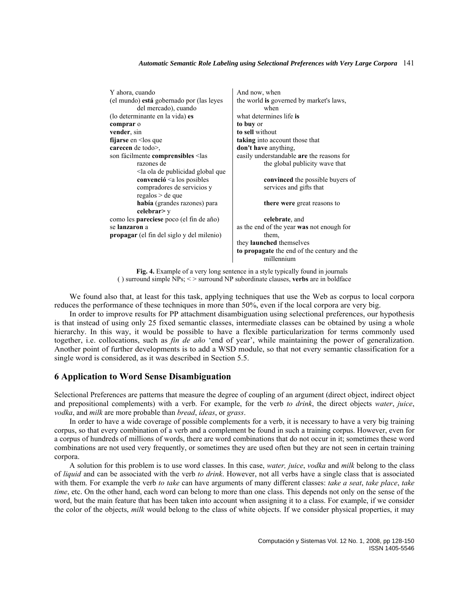| Y ahora, cuando                                                                                    | And now, when                               |  |  |
|----------------------------------------------------------------------------------------------------|---------------------------------------------|--|--|
| (el mundo) está gobernado por (las leyes                                                           | the world is governed by market's laws,     |  |  |
| del mercado), cuando                                                                               | when                                        |  |  |
| (lo determinante en la vida) es                                                                    | what determines life is                     |  |  |
| comprar o                                                                                          | to buy or                                   |  |  |
| vender, sin                                                                                        | to sell without                             |  |  |
| <b>fijarse</b> en $\leq$ los que                                                                   | <b>taking</b> into account those that       |  |  |
| carecen de todo $>$ ,                                                                              | don't have anything,                        |  |  |
| son fácilmente comprensibles <las< td=""><td>easily understandable are the reasons for</td></las<> | easily understandable are the reasons for   |  |  |
| razones de                                                                                         | the global publicity wave that              |  |  |
| la ola de publicidad global que                                                                    |                                             |  |  |
| convenció $\leq a$ los posibles                                                                    | <b>convinced</b> the possible buyers of     |  |  |
| compradores de servicios y                                                                         | services and gifts that                     |  |  |
| regalos > de que                                                                                   |                                             |  |  |
| había (grandes razones) para                                                                       | there were great reasons to                 |  |  |
| celebrar $>$ y                                                                                     |                                             |  |  |
| como les <b>pareciese</b> poco (el fin de año)                                                     | celebrate, and                              |  |  |
| se lanzaron a                                                                                      | as the end of the year was not enough for   |  |  |
| <b>propagar</b> (el fin del siglo y del milenio)                                                   | them.                                       |  |  |
|                                                                                                    | they <b>launched</b> themselves             |  |  |
|                                                                                                    | to propagate the end of the century and the |  |  |
|                                                                                                    | millennium                                  |  |  |

**Fig. 4.** Example of a very long sentence in a style typically found in journals ( ) surround simple NPs; < > surround NP subordinate clauses, **verbs** are in boldface

We found also that, at least for this task, applying techniques that use the Web as corpus to local corpora reduces the performance of these techniques in more than 50%, even if the local corpora are very big.

In order to improve results for PP attachment disambiguation using selectional preferences, our hypothesis is that instead of using only 25 fixed semantic classes, intermediate classes can be obtained by using a whole hierarchy. In this way, it would be possible to have a flexible particularization for terms commonly used together, i.e. collocations, such as *fin de año* 'end of year', while maintaining the power of generalization. Another point of further developments is to add a WSD module, so that not every semantic classification for a single word is considered, as it was described in Section 5.5.

## **6 Application to Word Sense Disambiguation**

Selectional Preferences are patterns that measure the degree of coupling of an argument (direct object, indirect object and prepositional complements) with a verb. For example, for the verb *to drink*, the direct objects *water*, *juice*, *vodka*, and *milk* are more probable than *bread*, *ideas*, or *grass*.

In order to have a wide coverage of possible complements for a verb, it is necessary to have a very big training corpus, so that every combination of a verb and a complement be found in such a training corpus. However, even for a corpus of hundreds of millions of words, there are word combinations that do not occur in it; sometimes these word combinations are not used very frequently, or sometimes they are used often but they are not seen in certain training corpora.

A solution for this problem is to use word classes. In this case, *water, juice*, *vodka* and *milk* belong to the class of *liquid* and can be associated with the verb *to drink*. However, not all verbs have a single class that is associated with them. For example the verb *to take* can have arguments of many different classes: *take a seat*, *take place*, *take time*, etc. On the other hand, each word can belong to more than one class. This depends not only on the sense of the word, but the main feature that has been taken into account when assigning it to a class. For example, if we consider the color of the objects, *milk* would belong to the class of white objects. If we consider physical properties, it may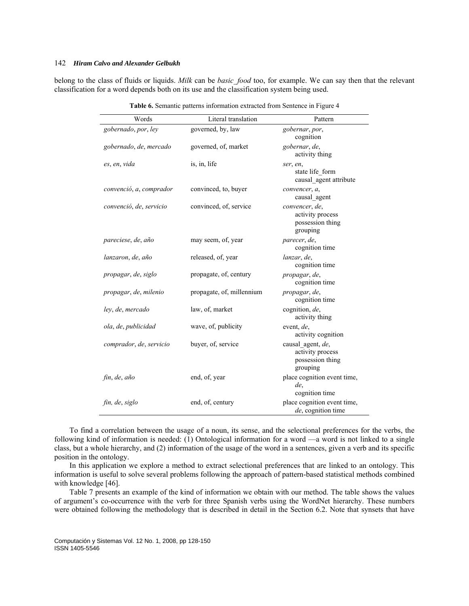belong to the class of fluids or liquids. *Milk* can be *basic\_food* too, for example. We can say then that the relevant classification for a word depends both on its use and the classification system being used.

| Words                   | Literal translation       | Pattern                                                               |
|-------------------------|---------------------------|-----------------------------------------------------------------------|
| gobernado, por, ley     | governed, by, law         | gobernar, por,<br>cognition                                           |
| gobernado, de, mercado  | governed, of, market      | gobernar, de,<br>activity thing                                       |
| es, en, vida            | is, in, life              | ser, en,<br>state life form<br>causal agent attribute                 |
| convenció, a, comprador | convinced, to, buyer      | convencer, a,<br>causal agent                                         |
| convenció, de, servicio | convinced, of, service    | convencer, de,<br>activity process<br>possession thing<br>grouping    |
| pareciese, de, año      | may seem, of, year        | parecer, de,<br>cognition time                                        |
| lanzaron, de, año       | released, of, year        | lanzar, de,<br>cognition time                                         |
| propagar, de, siglo     | propagate, of, century    | propagar, de,<br>cognition time                                       |
| propagar, de, milenio   | propagate, of, millennium | propagar, de,<br>cognition time                                       |
| ley, de, mercado        | law, of, market           | cognition, de,<br>activity thing                                      |
| ola, de, publicidad     | wave, of, publicity       | event, de,<br>activity cognition                                      |
| comprador, de, servicio | buyer, of, service        | causal agent, de,<br>activity process<br>possession thing<br>grouping |
| fin, de, año            | end, of, year             | place cognition event time,<br>de.<br>cognition time                  |
| fin, de, siglo          | end, of, century          | place cognition event time,<br>de, cognition time                     |

**Table 6.** Semantic patterns information extracted from Sentence in Figure 4

To find a correlation between the usage of a noun, its sense, and the selectional preferences for the verbs, the following kind of information is needed: (1) Ontological information for a word —a word is not linked to a single class, but a whole hierarchy, and (2) information of the usage of the word in a sentences, given a verb and its specific position in the ontology.

In this application we explore a method to extract selectional preferences that are linked to an ontology. This information is useful to solve several problems following the approach of pattern-based statistical methods combined with knowledge [[46\]](#page-21-17).

Table 7 presents an example of the kind of information we obtain with our method. The table shows the values of argument's co-occurrence with the verb for three Spanish verbs using the WordNet hierarchy. These numbers were obtained following the methodology that is described in detail in the Section 6.2. Note that synsets that have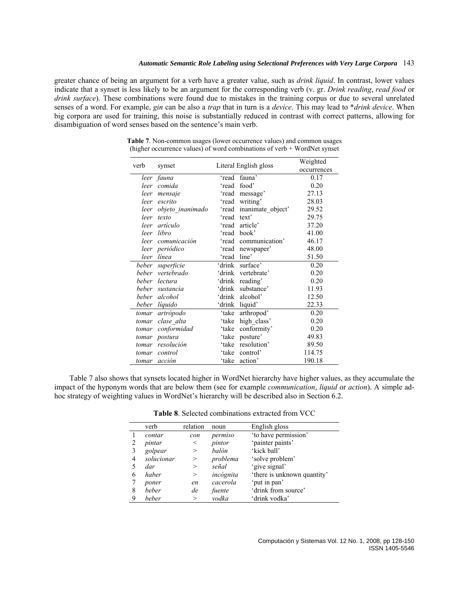greater chance of being an argument for a verb have a greater value, such as *drink liquid*. In contrast, lower values indicate that a synset is less likely to be an argument for the corresponding verb (v. gr. *Drink reading*, *read food* or *drink surface*). These combinations were found due to mistakes in the training corpus or due to several unrelated senses of a word. For example, *gin* can be also a *trap* that in turn is a *device*. This may lead to \**drink device*. When big corpora are used for training, this noise is substantially reduced in contrast with correct patterns, allowing for disambiguation of word senses based on the sentence's main verb.

| verb  |                  | Literal English gloss |                   | Weighted    |
|-------|------------------|-----------------------|-------------------|-------------|
|       | synset           |                       |                   | occurrences |
|       | leer fauna       | 'read                 | fauna'            | 0.17        |
| leer  | comida           | 'read                 | food'             | 0.20        |
| leer  | mensaje          | 'read                 | message'          | 27.13       |
| leer  | escrito          | 'read                 | writing'          | 28.03       |
| leer  | objeto inanimado | 'read                 | inanimate_object' | 29.52       |
| leer  | texto            | 'read                 | text'             | 29.75       |
| leer  | artículo         | 'read                 | article'          | 37.20       |
| leer  | libro            | 'read                 | book'             | 41.00       |
| leer  | comunicación     | 'read                 | communication'    | 46.17       |
|       | leer periódico   | 'read                 | newspaper'        | 48.00       |
| leer  | línea            | 'read                 | line'             | 51.50       |
| beber | superficie       | 'drink                | surface'          | 0.20        |
|       | beber vertebrado | 'drink                | vertebrate'       | 0.20        |
| beber | lectura          | 'drink                | reading'          | 0.20        |
| beber | sustancia        | 'drink                | substance'        | 11.93       |
| beber | alcohol          | 'drink                | alcohol'          | 12.50       |
| beber | líquido          | 'drink                | liquid'           | 22.33       |
| tomar | artrópodo        | 'take                 | arthropod'        | 0.20        |
| tomar | clase alta       | 'take                 | high class'       | 0.20        |
| tomar | conformidad      | take <sup>*</sup>     | conformity'       | 0.20        |
| tomar | postura          | 'take                 | posture'          | 49.83       |
| tomar | resolución       | 'take                 | resolution'       | 89.50       |
| tomar | control          | 'take                 | control'          | 114.75      |
| tomar | acción           | ʻtake                 | action'           | 190.18      |

**Table 7**. Non-common usages (lower occurrence values) and common usages (higher occurrence values) of word combinations of verb  $+$  WordNet synset

Table 7 also shows that synsets located higher in WordNet hierarchy have higher values, as they accumulate the impact of the hyponym words that are below them (see for example *communication*, *liquid* or *action*). A simple adhoc strategy of weighting values in WordNet's hierarchy will be described also in Section 6.2.

**Table 8**. Selected combinations extracted from VCC

|   | verb       | relation | noun      | English gloss               |
|---|------------|----------|-----------|-----------------------------|
|   | contar     | con      | permiso   | 'to have permission'        |
|   | pintar     | $\,<$    | pintor    | 'painter paints'            |
| 3 | golpear    | $\rm{>}$ | balón     | 'kick ball'                 |
| 4 | solucionar | >        | problema  | 'solve problem'             |
|   | dar        | >        | señal     | 'give signal'               |
| 6 | haber      | >        | incógnita | 'there is unknown quantity' |
|   | poner      | en       | cacerola  | 'put in pan'                |
| 8 | beber      | de       | fuente    | 'drink from source'         |
| 9 | beber      | $\rm{>}$ | vodka     | 'drink vodka'               |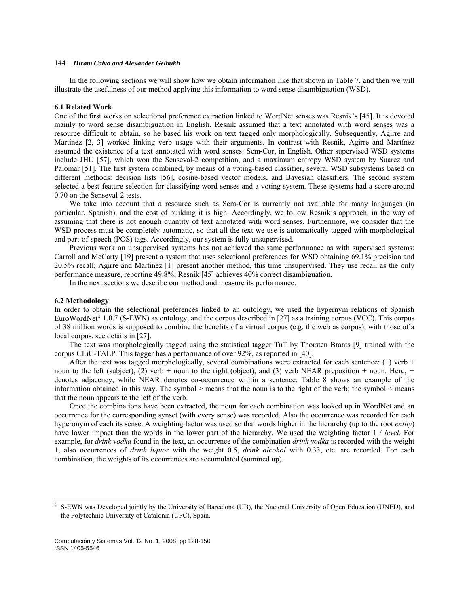In the following sections we will show how we obtain information like that shown in Table 7, and then we will illustrate the usefulness of our method applying this information to word sense disambiguation (WSD).

#### **6.1 Related Work**

One of the first works on selectional preference extraction linked to WordNet senses was Resnik's [[45\]](#page-21-12). It is devoted mainly to word sense disambiguation in English. Resnik assumed that a text annotated with word senses was a resource difficult to obtain, so he based his work on text tagged only morphologically. Subsequently, Agirre and Martinez [[2,](#page-19-9) [3\]](#page-19-10) worked linking verb usage with their arguments. In contrast with Resnik, Agirre and Martínez assumed the existence of a text annotated with word senses: Sem-Cor, in English. Other supervised WSD systems include JHU [[57\]](#page-22-1), which won the Senseval-2 competition, and a maximum entropy WSD system by Suarez and Palomar [[51\]](#page-21-18). The first system combined, by means of a voting-based classifier, several WSD subsystems based on different methods: decision lists [[56\]](#page-22-2), cosine-based vector models, and Bayesian classifiers. The second system selected a best-feature selection for classifying word senses and a voting system. These systems had a score around 0.70 on the Senseval-2 tests.

We take into account that a resource such as Sem-Cor is currently not available for many languages (in particular, Spanish), and the cost of building it is high. Accordingly, we follow Resnik's approach, in the way of assuming that there is not enough quantity of text annotated with word senses. Furthermore, we consider that the WSD process must be completely automatic, so that all the text we use is automatically tagged with morphological and part-of-speech (POS) tags. Accordingly, our system is fully unsupervised.

Previous work on unsupervised systems has not achieved the same performance as with supervised systems: Carroll and McCarty [[19\]](#page-20-17) present a system that uses selectional preferences for WSD obtaining 69.1% precision and 20.5% recall; Agirre and Martinez [[1\]](#page-19-11) present another method, this time unsupervised. They use recall as the only performance measure, reporting 49.8%; Resnik [\[45](#page-21-12)] achieves 40% correct disambiguation.

In the next sections we describe our method and measure its performance.

#### **6.2 Methodology**

 $\overline{a}$ 

In order to obtain the selectional preferences linked to an ontology, we used the hypernym relations of Spanish EuroWordNet<sup>[8](#page-16-0)</sup> 1.0.7 (S-EWN) as ontology, and the corpus described in [\[27\]](#page-20-18) as a training corpus (VCC). This corpus of 38 million words is supposed to combine the benefits of a virtual corpus (e.g. the web as corpus), with those of a local corpus, see details in [\[27\]](#page-20-18).

The text was morphologically tagged using the statistical tagger TnT by Thorsten Brants [\[9](#page-19-12)] trained with the corpus CLiC-TALP. This tagger has a performance of over 92%, as reported in [[40\]](#page-21-19).

After the text was tagged morphologically, several combinations were extracted for each sentence: (1) verb + noun to the left (subject), (2) verb + noun to the right (object), and (3) verb NEAR preposition + noun. Here, *+* denotes adjacency, while NEAR denotes co-occurrence within a sentence. Table 8 shows an example of the information obtained in this way. The symbol > means that the noun is to the right of the verb; the symbol < means that the noun appears to the left of the verb.

Once the combinations have been extracted, the noun for each combination was looked up in WordNet and an occurrence for the corresponding synset (with every sense) was recorded. Also the occurrence was recorded for each hyperonym of each its sense. A weighting factor was used so that words higher in the hierarchy (up to the root *entity*) have lower impact than the words in the lower part of the hierarchy. We used the weighting factor 1 / *level*. For example, for *drink vodka* found in the text, an occurrence of the combination *drink vodka* is recorded with the weight 1, also occurrences of *drink liquor* with the weight 0.5, *drink alcohol* with 0.33, etc. are recorded. For each combination, the weights of its occurrences are accumulated (summed up).

<span id="page-16-0"></span><sup>8</sup> S-EWN was Developed jointly by the University of Barcelona (UB), the Nacional University of Open Education (UNED), and the Polytechnic University of Catalonia (UPC), Spain.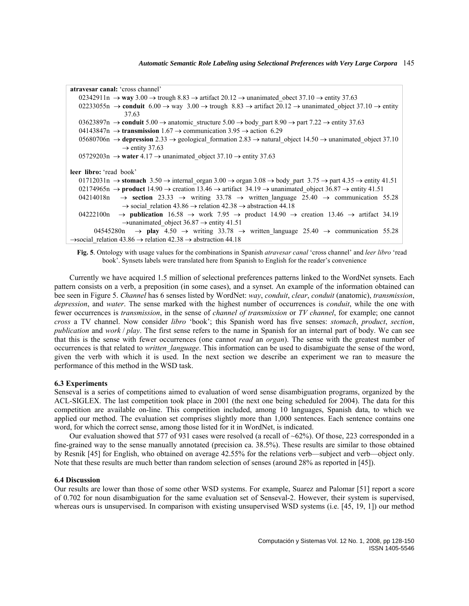```
atravesar canal: 'cross channel' 
    02342911n → way 3.00 → trough 8.83 → artifact 20.12 → unanimated_obect 37.10 → entity 37.63 
   02233055n \rightarrow \text{conduit } 6.00 \rightarrow way 3.00 \rightarrow trough 8.83 \rightarrow artifact 20.12 \rightarrow unanimated object 37.10 \rightarrow entity37.63 
    03623897n → conduit 5.00 → anatomic_structure 5.00 → body_part 8.90 → part 7.22 → entity 37.63 
   04143847n \rightarrow transmission 1.67 \rightarrow communication 3.95 \rightarrow action 6.29
   05680706n \rightarrow depression 2.33 \rightarrow geological formation 2.83 \rightarrow natural object 14.50 \rightarrow unanimated object 37.10
                     \rightarrow entity 37.63
   05729203n \rightarrow water 4.17 \rightarrow unanimated object 37.10 \rightarrow entity 37.63
leer libro: 'read book' 
    01712031n → stomach 3.50 → internal_organ 3.00 → organ 3.08 → body_part 3.75 → part 4.35 → entity 41.51 
    02174965n → product 14.90 → creation 13.46 → artifact 34.19 → unanimated_object 36.87 → entity 41.51 
   04214018n \rightarrow section 23.33 \rightarrow writing 33.78 \rightarrow written language 25.40 \rightarrow communication 55.28
                     \rightarrow social relation 43.86 \rightarrow relation 42.38 \rightarrow abstraction 44.18
    04222100n → publication 16.58 → work 7.95 → product 14.90 → creation 13.46 → artifact 34.19 
                     \rightarrowunanimated object 36.87 \rightarrow entity 41.51
         04545280n \rightarrow play 4.50 \rightarrow writing 33.78 \rightarrow written language 25.40 \rightarrow communication 55.28
\rightarrowsocial relation 43.86 \rightarrow relation 42.38 \rightarrow abstraction 44.18
```
**Fig. 5**. Ontology with usage values for the combinations in Spanish *atravesar canal* 'cross channel' and *leer libro* 'read book'. Synsets labels were translated here from Spanish to English for the reader's convenience

Currently we have acquired 1.5 million of selectional preferences patterns linked to the WordNet synsets. Each pattern consists on a verb, a preposition (in some cases), and a synset. An example of the information obtained can bee seen in Figure 5. *Channel* has 6 senses listed by WordNet: *way*, *conduit*, *clear*, *conduit* (anatomic), *transmission*, *depression*, and *water*. The sense marked with the highest number of occurrences is *conduit*, while the one with fewer occurrences is *transmission*, in the sense of *channel of transmission* or *TV channel*, for example; one cannot *cross* a TV channel. Now consider *libro* 'book'; this Spanish word has five senses: *stomach*, *product*, *section*, *publication* and *work* / *play*. The first sense refers to the name in Spanish for an internal part of body. We can see that this is the sense with fewer occurrences (one cannot *read* an *organ*). The sense with the greatest number of occurrences is that related to *written\_language*. This information can be used to disambiguate the sense of the word, given the verb with which it is used. In the next section we describe an experiment we ran to measure the performance of this method in the WSD task.

### **6.3 Experiments**

Senseval is a series of competitions aimed to evaluation of word sense disambiguation programs, organized by the ACL-SIGLEX. The last competition took place in 2001 (the next one being scheduled for 2004). The data for this competition are available on-line. This competition included, among 10 languages, Spanish data, to which we applied our method. The evaluation set comprises slightly more than 1,000 sentences. Each sentence contains one word, for which the correct sense, among those listed for it in WordNet, is indicated.

Our evaluation showed that 577 of 931 cases were resolved (a recall of  $\sim 62\%$ ). Of those, 223 corresponded in a fine-grained way to the sense manually annotated (precision ca. 38.5%). These results are similar to those obtained by Resnik [[45\]](#page-21-12) for English, who obtained on average 42.55% for the relations verb—subject and verb—object only. Note that these results are much better than random selection of senses (around 28% as reported in [\[45](#page-21-12)]).

#### **6.4 Discussion**

Our results are lower than those of some other WSD systems. For example, Suarez and Palomar [\[51](#page-21-18)] report a score of 0.702 for noun disambiguation for the same evaluation set of Senseval-2. However, their system is supervised, whereas ours is unsupervised. In comparison with existing unsupervised WSD systems (i.e. [\[45](#page-21-12), [19,](#page-20-17) [1](#page-19-11)]) our method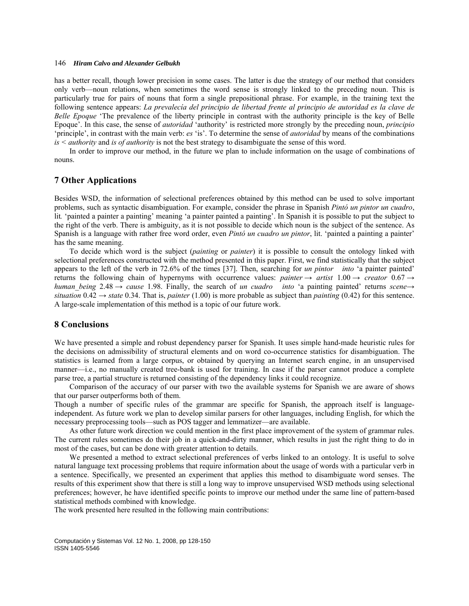has a better recall, though lower precision in some cases. The latter is due the strategy of our method that considers only verb—noun relations, when sometimes the word sense is strongly linked to the preceding noun. This is particularly true for pairs of nouns that form a single prepositional phrase. For example, in the training text the following sentence appears: *La prevalecía del principio de libertad frente al principio de autoridad es la clave de Belle Epoque* 'The prevalence of the liberty principle in contrast with the authority principle is the key of Belle Epoque'. In this case, the sense of *autoridad* 'authority' is restricted more strongly by the preceding noun, *principio* 'principle', in contrast with the main verb: *es* 'is'. To determine the sense of *autoridad* by means of the combinations *is < authority* and *is of authority* is not the best strategy to disambiguate the sense of this word.

In order to improve our method, in the future we plan to include information on the usage of combinations of nouns.

### **7 Other Applications**

Besides WSD, the information of selectional preferences obtained by this method can be used to solve important problems, such as syntactic disambiguation. For example, consider the phrase in Spanish *Pintó un pintor un cuadro*, lit*.* 'painted a painter a painting' meaning 'a painter painted a painting'. In Spanish it is possible to put the subject to the right of the verb. There is ambiguity, as it is not possible to decide which noun is the subject of the sentence. As Spanish is a language with rather free word order, even *Pintó un cuadro un pintor*, lit. 'painted a painting a painter' has the same meaning.

To decide which word is the subject (*painting* or *painter*) it is possible to consult the ontology linked with selectional preferences constructed with the method presented in this paper. First, we find statistically that the subject appears to the left of the verb in 72.6% of the times [[37](#page-21-20)]. Then, searching for *un pintor into* 'a painter painted' returns the following chain of hypernyms with occurrence values: *painter*  $\rightarrow$  *artist* 1.00  $\rightarrow$  *creator* 0.67  $\rightarrow$ *human\_being* 2.48 → *cause* 1.98. Finally, the search of *un cuadro into* 'a painting painted' returns *scene*→ *situation*  $0.42 \rightarrow$  *state* 0.34. That is, *painter* (1.00) is more probable as subject than *painting* (0.42) for this sentence. A large-scale implementation of this method is a topic of our future work.

### **8 Conclusions**

We have presented a simple and robust dependency parser for Spanish. It uses simple hand-made heuristic rules for the decisions on admissibility of structural elements and on word co-occurrence statistics for disambiguation. The statistics is learned from a large corpus, or obtained by querying an Internet search engine, in an unsupervised manner—i.e., no manually created tree-bank is used for training. In case if the parser cannot produce a complete parse tree, a partial structure is returned consisting of the dependency links it could recognize.

Comparison of the accuracy of our parser with two the available systems for Spanish we are aware of shows that our parser outperforms both of them.

Though a number of specific rules of the grammar are specific for Spanish, the approach itself is languageindependent. As future work we plan to develop similar parsers for other languages, including English, for which the necessary preprocessing tools—such as POS tagger and lemmatizer—are available.

As other future work direction we could mention in the first place improvement of the system of grammar rules. The current rules sometimes do their job in a quick-and-dirty manner, which results in just the right thing to do in most of the cases, but can be done with greater attention to details.

We presented a method to extract selectional preferences of verbs linked to an ontology. It is useful to solve natural language text processing problems that require information about the usage of words with a particular verb in a sentence. Specifically, we presented an experiment that applies this method to disambiguate word senses. The results of this experiment show that there is still a long way to improve unsupervised WSD methods using selectional preferences; however, he have identified specific points to improve our method under the same line of pattern-based statistical methods combined with knowledge.

The work presented here resulted in the following main contributions: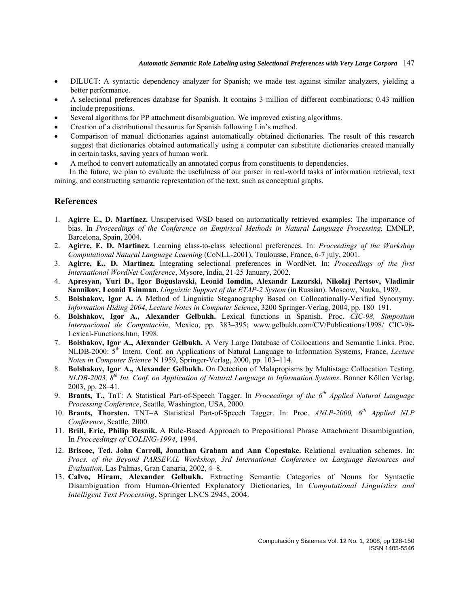- DILUCT: A syntactic dependency analyzer for Spanish; we made test against similar analyzers, yielding a better performance.
- A selectional preferences database for Spanish. It contains 3 million of different combinations; 0.43 million include prepositions.
- Several algorithms for PP attachment disambiguation. We improved existing algorithms.
- Creation of a distributional thesaurus for Spanish following Lin's method.
- Comparison of manual dictionaries against automatically obtained dictionaries. The result of this research suggest that dictionaries obtained automatically using a computer can substitute dictionaries created manually in certain tasks, saving years of human work.
- A method to convert automatically an annotated corpus from constituents to dependencies.

In the future, we plan to evaluate the usefulness of our parser in real-world tasks of information retrieval, text mining, and constructing semantic representation of the text, such as conceptual graphs.

# **References**

- <span id="page-19-11"></span>1. **Agirre E., D. Martínez.** Unsupervised WSD based on automatically retrieved examples: The importance of bias. In *Proceedings of the Conference on Empirical Methods in Natural Language Processing, EMNLP,* Barcelona, Spain, 2004.
- <span id="page-19-9"></span>2. **Agirre, E. D. Martinez.** Learning class-to-class selectional preferences. In: *Proceedings of the Workshop Computational Natural Language Learning* (CoNLL-2001), Toulousse, France, 6-7 july, 2001.
- <span id="page-19-10"></span>3. **Agirre, E., D. Martinez.** Integrating selectional preferences in WordNet. In: *Proceedings of the first International WordNet Conference*, Mysore, India, 21-25 January, 2002.
- <span id="page-19-4"></span>4. **Apresyan, Yuri D., Igor Boguslavski, Leonid Iomdin, Alexandr Lazurski, Nikolaj Pertsov, Vladimir Sannikov, Leonid Tsinman.** *Linguistic Support of the ETAP-2 System* (in Russian). Moscow, Nauka, 1989.
- <span id="page-19-2"></span>5. **Bolshakov, Igor A.** A Method of Linguistic Steganography Based on Collocationally-Verified Synonymy. *Information Hiding 2004*, *Lecture Notes in Computer Science*, 3200 Springer-Verlag, 2004, pp. 180–191.
- <span id="page-19-3"></span>6. **Bolshakov, Igor A., Alexander Gelbukh.** Lexical functions in Spanish. Proc. *CIC-98, Simposium Internacional de Computación*, Mexico, pp. 383–395; www.gelbukh.com/CV/Publications/1998/ CIC-98- Lexical-Functions.htm, 1998.
- <span id="page-19-0"></span>7. **Bolshakov, Igor A., Alexander Gelbukh.** A Very Large Database of Collocations and Semantic Links. Proc. NLDB-2000: 5th Intern. Conf. on Applications of Natural Language to Information Systems, France, *Lecture Notes in Computer Science* N 1959, Springer-Verlag, 2000, pp. 103–114.
- <span id="page-19-1"></span>8. **Bolshakov, Igor A., Alexander Gelbukh.** On Detection of Malapropisms by Multistage Collocation Testing. *NLDB-2003, 8th Int. Conf. on Application of Natural Language to Information Systems*. Bonner Köllen Verlag, 2003, pp. 28–41.
- <span id="page-19-12"></span>9. **Brants, T.,** TnT: A Statistical Part-of-Speech Tagger. In *Proceedings of the 6th Applied Natural Language Processing Conference*, Seattle, Washington, USA, 2000.
- <span id="page-19-5"></span>10. **Brants, Thorsten.** TNT–A Statistical Part-of-Speech Tagger. In: Proc. *ANLP-2000, 6th Applied NLP Conference*, Seattle, 2000.
- <span id="page-19-7"></span>11. **Brill, Eric, Philip Resnik.** [A Rule-Based Approach to Prepositional Phrase Attachment Disambiguation,](http://xxx.lanl.gov/abs/cmp-lg/9410026) In *Proceedings of COLING-1994*, 1994.
- <span id="page-19-6"></span>12. **Briscoe, Ted. John Carroll, Jonathan Graham and Ann Copestake.** Relational evaluation schemes. In: *Procs. of the Beyond PARSEVAL Workshop, 3rd International Conference on Language Resources and Evaluation,* Las Palmas, Gran Canaria, 2002, 4–8.
- <span id="page-19-8"></span>13. **Calvo, Hiram, Alexander Gelbukh.** Extracting Semantic Categories of Nouns for Syntactic Disambiguation from Human-Oriented Explanatory Dictionaries, In *Computational Linguistics and Intelligent Text Processing*, Springer LNCS 2945, 2004.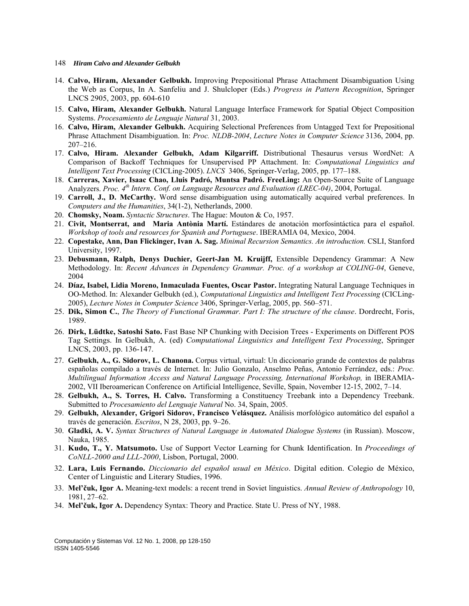- 148 *Hiram Calvo and Alexander Gelbukh*
- <span id="page-20-14"></span>14. **Calvo, Hiram, Alexander Gelbukh.** Improving Prepositional Phrase Attachment Disambiguation Using the Web as Corpus, In A. Sanfeliu and J. Shulcloper (Eds.) *Progress in Pattern Recognition*, Springer LNCS 2905, 2003, pp. 604-610
- <span id="page-20-8"></span>15. **Calvo, Hiram, Alexander Gelbukh.** Natural Language Interface Framework for Spatial Object Composition Systems. *Procesamiento de Lenguaje Natural* 31, 2003.
- 16. **Calvo, Hiram, Alexander Gelbukh.** Acquiring Selectional Preferences from Untagged Text for Prepositional Phrase Attachment Disambiguation. In: *Proc. NLDB-2004*, *Lecture Notes in Computer Science* 3136, 2004, pp. 207–216.
- <span id="page-20-10"></span>17. **Calvo, Hiram. Alexander Gelbukh, Adam Kilgarriff.** Distributional Thesaurus versus WordNet: A Comparison of Backoff Techniques for Unsupervised PP Attachment. In: *Computational Linguistics and Intelligent Text Processing* (CICLing-2005). *LNCS* 3406, Springer-Verlag, 2005, pp. 177–188.
- <span id="page-20-4"></span>18. **Carreras, Xavier, Isaac Chao, Lluis Padró, Muntsa Padró. FreeLing:** An Open-Source Suite of Language Analyzers. *Proc. 4th Intern. Conf. on Language Resources and Evaluation (LREC-04)*, 2004, Portugal.
- <span id="page-20-17"></span>19. **Carroll, J., D. McCarthy.** Word sense disambiguation using automatically acquired verbal preferences. In *Computers and the Humanities*, 34(1-2), Netherlands, 2000.
- <span id="page-20-0"></span>20. **Chomsky, Noam.** *Syntactic Structures*. The Hague: Mouton & Co, 1957.
- <span id="page-20-11"></span>21. **Civit, Montserrat, and Maria Antònia Martí.** Estándares de anotación morfosintáctica para el español. *Workshop of tools and resources for Spanish and Portuguese*. IBERAMIA 04, Mexico, 2004.
- <span id="page-20-3"></span>22. **Copestake, Ann, Dan Flickinger, Ivan A. Sag.** *Minimal Recursion Semantics. An introduction.* CSLI, Stanford University, 1997.
- <span id="page-20-6"></span>23. **Debusmann, Ralph, Denys Duchier, Geert-Jan M. Kruijff,** Extensible Dependency Grammar: A New Methodology. In: *Recent Advances in Dependency Grammar. Proc. of a workshop at COLING-04*, Geneve, 2004
- <span id="page-20-2"></span>24. **Díaz, Isabel, Lidia Moreno, Inmaculada Fuentes, Oscar Pastor.** Integrating Natural Language Techniques in OO-Method. In: Alexander Gelbukh (ed.), *Computational Linguistics and Intelligent Text Processing* (CICLing-2005), *Lecture Notes in Computer Science* 3406, Springer-Verlag, 2005, pp. 560–571.
- <span id="page-20-15"></span>25. **Dik, Simon C.**, *The Theory of Functional Grammar. Part I: The structure of the clause*. Dordrecht, Foris, 1989.
- <span id="page-20-13"></span>26. **[Dirk, Lüdtke](http://www.informatik.uni-trier.de/%7Eley/db/indices/a-tree/l/L=uuml=dtke:Dirk.html), Satoshi Sato.** Fast Base NP Chunking with Decision Trees - Experiments on Different POS Tag Settings. In Gelbukh, A. (ed) *Computational Linguistics and Intelligent Text Processing*, Springer LNCS, 2003, pp. 136-147.
- <span id="page-20-18"></span>27. **Gelbukh, A., G. Sidorov, L. Chanona.** Corpus virtual, virtual: Un diccionario grande de contextos de palabras españolas compilado a través de Internet. In: Julio Gonzalo, Anselmo Peñas, Antonio Ferrández, eds.: *Proc. Multilingual Information Access and Natural Language Processing, International Workshop,* in IBERAMIA-2002, VII Iberoamerican Conference on Artificial Intelligence, Seville, Spain, November 12-15, 2002, 7–14.
- 28. **Gelbukh, A., S. Torres, H. Calvo.** Transforming a Constituency Treebank into a Dependency Treebank. Submitted to *Procesamiento del Lenguaje Natural* No. 34, Spain, 2005.
- <span id="page-20-7"></span>29. **Gelbukh, Alexander, Grigori Sidorov, Francisco Velásquez.** Análisis morfológico automático del español a través de generación. *Escritos*, N 28, 2003, pp. 9–26.
- <span id="page-20-9"></span>30. **Gladki, A. V.** *Syntax Structures of Natural Language in Automated Dialogue Systems* (in Russian). Moscow, Nauka, 1985.
- <span id="page-20-12"></span>31. **Kudo, T., Y. Matsumoto.** Use of Support Vector Learning for Chunk Identification. In *Proceedings of CoNLL-2000 and LLL-2000*, Lisbon, Portugal, 2000.
- <span id="page-20-16"></span>32. **Lara, Luis Fernando.** *Diccionario del español usual en México*. Digital edition. Colegio de México, Center of Linguistic and Literary Studies, 1996.
- <span id="page-20-5"></span>33. **Mel'čuk, Igor A.** Meaning-text models: a recent trend in Soviet linguistics. *Annual Review of Anthropology* 10, 1981, 27–62.
- <span id="page-20-1"></span>34. **Mel'čuk, Igor A.** Dependency Syntax: Theory and Practice. State U. Press of NY, 1988.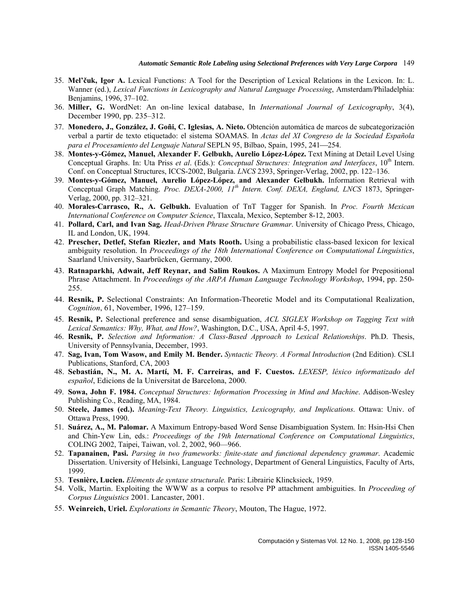#### *Automatic Semantic Role Labeling using Selectional Preferences with Very Large Corpora* 149

- <span id="page-21-6"></span>35. **Mel'čuk, Igor A.** Lexical Functions: A Tool for the Description of Lexical Relations in the Lexicon. In: L. Wanner (ed.), *Lexical Functions in Lexicography and Natural Language Processing*, Amsterdam/Philadelphia: Benjamins, 1996, 37–102.
- <span id="page-21-14"></span>36. **Miller, G.** WordNet: An on-line lexical database, In *International Journal of Lexicography*, 3(4), December 1990, pp. 235–312.
- <span id="page-21-20"></span>37. **Monedero, J., González, J. Goñi, C. Iglesias, A. Nieto.** Obtención automática de marcos de subcategorización verbal a partir de texto etiquetado: el sistema SOAMAS. In *Actas del XI Congreso de la Sociedad Española para el Procesamiento del Lenguaje Natural SEPLN 95, Bilbao, Spain, 1995, 241—254.*
- <span id="page-21-2"></span>38. **Montes-y-Gómez, Manuel, Alexander F. Gelbukh, Aurelio López-López.** Text Mining at Detail Level Using Conceptual Graphs. In: Uta Priss *et al.* (Eds.): *Conceptual Structures: Integration and Interfaces*, 10<sup>th</sup> Intern. Conf. on Conceptual Structures, ICCS-2002, Bulgaria. *LNCS* 2393, Springer-Verlag, 2002, pp. 122–136.
- <span id="page-21-1"></span>39. **Montes-y-Gómez, Manuel, Aurelio López-López, and Alexander Gelbukh.** Information Retrieval with Conceptual Graph Matching. *Proc. DEXA-2000, 11th Intern. Conf. DEXA, England, LNCS* 1873, Springer-Verlag, 2000, pp. 312–321.
- <span id="page-21-19"></span>40. **Morales-Carrasco, R., A. Gelbukh.** Evaluation of TnT Tagger for Spanish. In *Proc. Fourth Mexican International Conference on Computer Science*, Tlaxcala, Mexico, September 8-12, 2003.
- <span id="page-21-7"></span>41. **Pollard, Carl, and Ivan Sag.** *Head-Driven Phrase Structure Grammar*. University of Chicago Press, Chicago, IL and London, UK, 1994.
- <span id="page-21-13"></span>42. **Prescher, Detlef, Stefan Riezler, and Mats Rooth.** Using a probabilistic class-based lexicon for lexical ambiguity resolution. In *Proceedings of the 18th International Conference on Computational Linguistics*, Saarland University, Saarbrücken, Germany, 2000.
- <span id="page-21-9"></span>43. **Ratnaparkhi, Adwait, Jeff Reynar, and Salim Roukos.** [A Maximum Entropy Model for Prepositional](http://www.cis.upenn.edu/%7Eadwait/papers/hlt94.ps)  [Phrase Attachment.](http://www.cis.upenn.edu/%7Eadwait/papers/hlt94.ps) In *Proceedings of the ARPA Human Language Technology Workshop*, 1994, pp. 250- 255.
- <span id="page-21-11"></span>44. **Resnik, P.** Selectional Constraints: An Information-Theoretic Model and its Computational Realization, *Cognition*, 61, November, 1996, 127–159.
- <span id="page-21-12"></span>45. **Resnik, P.** Selectional preference and sense disambiguation, *ACL SIGLEX Workshop on Tagging Text with Lexical Semantics: Why, What, and How?*, Washington, D.C., USA, April 4-5, 1997.
- <span id="page-21-17"></span>46. **Resnik, P.** *Selection and Information: A Class-Based Approach to Lexical Relationships*. Ph.D. Thesis, University of Pennsylvania, December, 1993.
- <span id="page-21-0"></span>47. **Sag, Ivan, Tom Wasow, and Emily M. Bender.** *Syntactic Theory. A Formal Introduction* (2nd Edition). CSLI Publications, Stanford, CA, 2003
- <span id="page-21-16"></span>48. **Sebastián, N., M. A. Martí, M. F. Carreiras, and F. Cuestos.** *LEXESP, léxico informatizado del español*, Edicions de la Universitat de Barcelona, 2000.
- <span id="page-21-3"></span>49. **Sowa, John F. 1984.** *Conceptual Structures: Information Processing in Mind and Machine*. Addison-Wesley Publishing Co., Reading, MA, 1984.
- <span id="page-21-5"></span>50. **Steele, James (ed.).** *Meaning-Text Theory. Linguistics, Lexicography, and Implications*. Ottawa: Univ. of Ottawa Press, 1990.
- <span id="page-21-18"></span>51. **Suárez, A., M. Palomar.** A Maximum Entropy-based Word Sense Disambiguation System. In: Hsin-Hsi Chen and Chin-Yew Lin, eds.: *Proceedings of the 19th International Conference on Computational Linguistics*, COLING 2002, Taipei, Taiwan, vol. 2, 2002, 960—966.
- <span id="page-21-8"></span>52. **Tapanainen, Pasi.** *Parsing in two frameworks: finite-state and functional dependency grammar*. Academic Dissertation. University of Helsinki, Language Technology, Department of General Linguistics, Faculty of Arts, 1999.
- <span id="page-21-4"></span>53. **Tesnière, Lucien.** *Eléments de syntaxe structurale.* Paris: Librairie Klincksieck, 1959.
- <span id="page-21-15"></span>54. Volk, Martin. Exploiting the WWW as a corpus to resolve PP attachment ambiguities. In *Proceeding of Corpus Linguistics* 2001. Lancaster, 2001.
- <span id="page-21-10"></span>55. **Weinreich, Uriel.** *Explorations in Semantic Theory*, Mouton, The Hague, 1972.